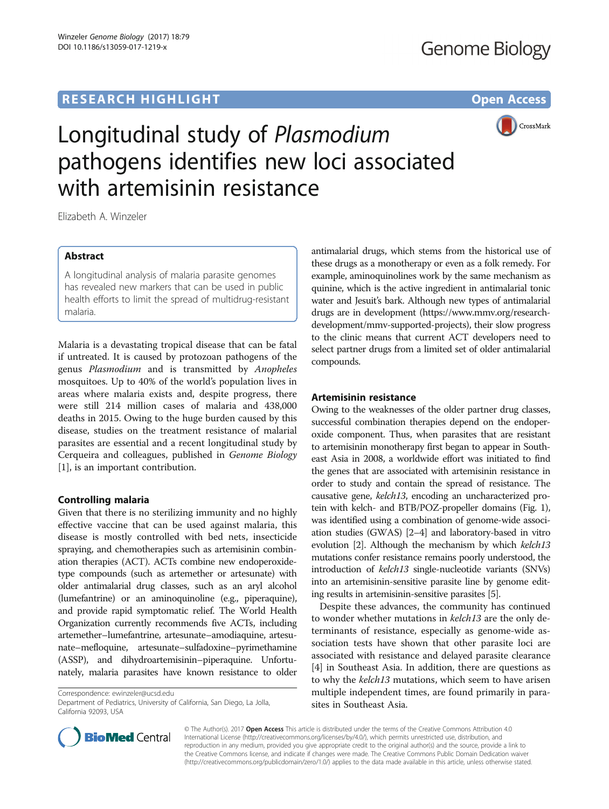## **RESEARCH HIGHLIGHT** THE OPEN ACCESS OPEN ACCESS



# Longitudinal study of Plasmodium pathogens identifies new loci associated with artemisinin resistance

Elizabeth A. Winzeler

## Abstract

A longitudinal analysis of malaria parasite genomes has revealed new markers that can be used in public health efforts to limit the spread of multidrug-resistant malaria.

Malaria is a devastating tropical disease that can be fatal if untreated. It is caused by protozoan pathogens of the genus Plasmodium and is transmitted by Anopheles mosquitoes. Up to 40% of the world's population lives in areas where malaria exists and, despite progress, there were still 214 million cases of malaria and 438,000 deaths in 2015. Owing to the huge burden caused by this disease, studies on the treatment resistance of malarial parasites are essential and a recent longitudinal study by Cerqueira and colleagues, published in Genome Biology [[1\]](#page-2-0), is an important contribution.

## Controlling malaria

Given that there is no sterilizing immunity and no highly effective vaccine that can be used against malaria, this disease is mostly controlled with bed nets, insecticide spraying, and chemotherapies such as artemisinin combination therapies (ACT). ACTs combine new endoperoxidetype compounds (such as artemether or artesunate) with older antimalarial drug classes, such as an aryl alcohol (lumefantrine) or an aminoquinoline (e.g., piperaquine), and provide rapid symptomatic relief. The World Health Organization currently recommends five ACTs, including artemether–lumefantrine, artesunate–amodiaquine, artesunate–mefloquine, artesunate–sulfadoxine–pyrimethamine (ASSP), and dihydroartemisinin–piperaquine. Unfortunately, malaria parasites have known resistance to older

Correspondence: [ewinzeler@ucsd.edu](mailto:ewinzeler@ucsd.edu)

Department of Pediatrics, University of California, San Diego, La Jolla, California 92093, USA



### Artemisinin resistance

Owing to the weaknesses of the older partner drug classes, successful combination therapies depend on the endoperoxide component. Thus, when parasites that are resistant to artemisinin monotherapy first began to appear in Southeast Asia in 2008, a worldwide effort was initiated to find the genes that are associated with artemisinin resistance in order to study and contain the spread of resistance. The causative gene, kelch13, encoding an uncharacterized protein with kelch- and BTB/POZ-propeller domains (Fig. [1](#page-1-0)), was identified using a combination of genome-wide association studies (GWAS) [\[2](#page-2-0)–[4](#page-2-0)] and laboratory-based in vitro evolution [\[2](#page-2-0)]. Although the mechanism by which kelch13 mutations confer resistance remains poorly understood, the introduction of kelch13 single-nucleotide variants (SNVs) into an artemisinin-sensitive parasite line by genome editing results in artemisinin-sensitive parasites [\[5\]](#page-2-0).

Despite these advances, the community has continued to wonder whether mutations in kelch13 are the only determinants of resistance, especially as genome-wide association tests have shown that other parasite loci are associated with resistance and delayed parasite clearance [[4\]](#page-2-0) in Southeast Asia. In addition, there are questions as to why the kelch13 mutations, which seem to have arisen multiple independent times, are found primarily in parasites in Southeast Asia.



© The Author(s). 2017 **Open Access** This article is distributed under the terms of the Creative Commons Attribution 4.0 International License [\(http://creativecommons.org/licenses/by/4.0/](http://creativecommons.org/licenses/by/4.0/)), which permits unrestricted use, distribution, and reproduction in any medium, provided you give appropriate credit to the original author(s) and the source, provide a link to the Creative Commons license, and indicate if changes were made. The Creative Commons Public Domain Dedication waiver [\(http://creativecommons.org/publicdomain/zero/1.0/](http://creativecommons.org/publicdomain/zero/1.0/)) applies to the data made available in this article, unless otherwise stated.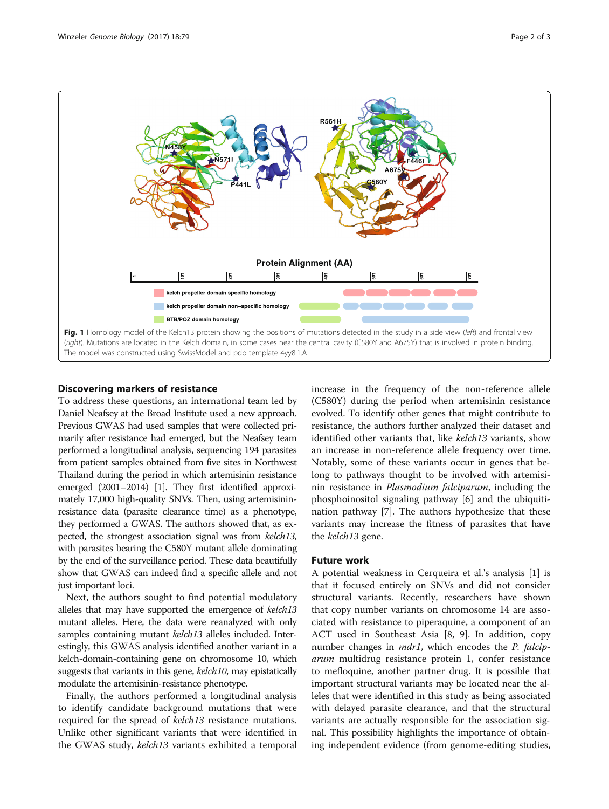<span id="page-1-0"></span>

#### Discovering markers of resistance

To address these questions, an international team led by Daniel Neafsey at the Broad Institute used a new approach. Previous GWAS had used samples that were collected primarily after resistance had emerged, but the Neafsey team performed a longitudinal analysis, sequencing 194 parasites from patient samples obtained from five sites in Northwest Thailand during the period in which artemisinin resistance emerged (2001–2014) [\[1\]](#page-2-0). They first identified approximately 17,000 high-quality SNVs. Then, using artemisininresistance data (parasite clearance time) as a phenotype, they performed a GWAS. The authors showed that, as expected, the strongest association signal was from kelch13, with parasites bearing the C580Y mutant allele dominating by the end of the surveillance period. These data beautifully show that GWAS can indeed find a specific allele and not just important loci.

Next, the authors sought to find potential modulatory alleles that may have supported the emergence of kelch13 mutant alleles. Here, the data were reanalyzed with only samples containing mutant kelch13 alleles included. Interestingly, this GWAS analysis identified another variant in a kelch-domain-containing gene on chromosome 10, which suggests that variants in this gene, kelch10, may epistatically modulate the artemisinin-resistance phenotype.

Finally, the authors performed a longitudinal analysis to identify candidate background mutations that were required for the spread of kelch13 resistance mutations. Unlike other significant variants that were identified in the GWAS study, kelch13 variants exhibited a temporal increase in the frequency of the non-reference allele (C580Y) during the period when artemisinin resistance evolved. To identify other genes that might contribute to resistance, the authors further analyzed their dataset and identified other variants that, like kelch13 variants, show an increase in non-reference allele frequency over time. Notably, some of these variants occur in genes that belong to pathways thought to be involved with artemisinin resistance in Plasmodium falciparum, including the phosphoinositol signaling pathway [\[6](#page-2-0)] and the ubiquitination pathway [[7\]](#page-2-0). The authors hypothesize that these variants may increase the fitness of parasites that have the kelch13 gene.

#### Future work

A potential weakness in Cerqueira et al.'s analysis [\[1](#page-2-0)] is that it focused entirely on SNVs and did not consider structural variants. Recently, researchers have shown that copy number variants on chromosome 14 are associated with resistance to piperaquine, a component of an ACT used in Southeast Asia [[8](#page-2-0), [9\]](#page-2-0). In addition, copy number changes in *mdr1*, which encodes the *P. falcip*arum multidrug resistance protein 1, confer resistance to mefloquine, another partner drug. It is possible that important structural variants may be located near the alleles that were identified in this study as being associated with delayed parasite clearance, and that the structural variants are actually responsible for the association signal. This possibility highlights the importance of obtaining independent evidence (from genome-editing studies,